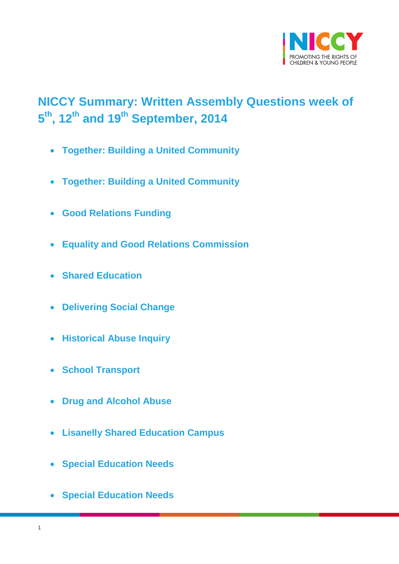

# <span id="page-0-0"></span>**NICCY Summary: Written Assembly Questions week of 5 th , 12th and 19th September, 2014**

- **[Together: Building a United Community](#page-3-0)**
- **[Together: Building a United Community](#page-3-1)**
- **[Good Relations Funding](#page-4-0)**
- **[Equality and Good Relations Commission](#page-4-1)**
- **[Shared Education](#page-5-0)**
- **[Delivering Social Change](#page-5-1)**
- **[Historical Abuse Inquiry](#page-6-0)**
- **[School Transport](#page-8-0)**
- **[Drug and Alcohol Abuse](#page-8-1)**
- **[Lisanelly Shared Education Campus](#page-9-0)**
- **[Special Education Needs](#page-10-0)**
- **[Special Education Needs](#page-10-1)**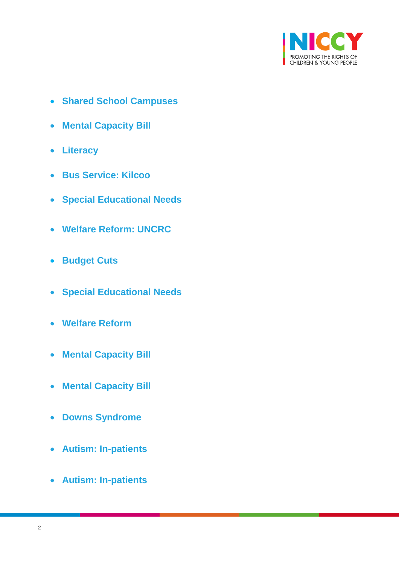

- **[Shared School Campuses](#page-11-0)**
- **[Mental Capacity Bill](#page-12-0)**
- **[Literacy](#page-13-0)**
- **[Bus Service: Kilcoo](#page-14-0)**
- **[Special Educational Needs](#page-15-0)**
- **[Welfare Reform: UNCRC](#page-16-0)**
- **[Budget Cuts](#page-17-0)**
- **[Special Educational Needs](#page-17-1)**
- **[Welfare Reform](#page-18-0)**
- **[Mental Capacity Bill](#page-18-1)**
- **[Mental Capacity Bill](#page-19-0)**
- **[Downs Syndrome](#page-18-0)**
- **[Autism: In-patients](#page-20-0)**
- **[Autism: In-patients](#page-21-0)**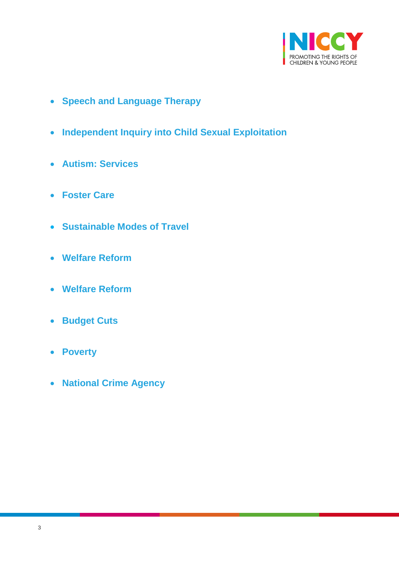

- **[Speech and Language Therapy](#page-21-1)**
- **[Independent Inquiry into Child Sexual Exploitation](#page-24-0)**
- **[Autism: Services](#page-25-0)**
- **[Foster Care](#page-25-1)**
- **[Sustainable Modes of Travel](#page-27-0)**
- **[Welfare Reform](#page-28-0)**
- **[Welfare Reform](#page-28-1)**
- **[Budget Cuts](#page-29-0)**
- **[Poverty](#page-30-0)**
- **[National Crime Agency](#page-32-0)**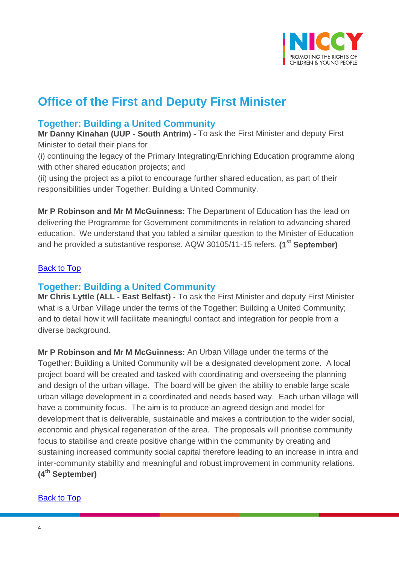

# **Office of the First and Deputy First Minister**

## <span id="page-3-0"></span>**Together: Building a United Community**

**Mr Danny Kinahan (UUP - South Antrim) -** To ask the First Minister and deputy First Minister to detail their plans for

(i) continuing the legacy of the Primary Integrating/Enriching Education programme along with other shared education projects; and

(ii) using the project as a pilot to encourage further shared education, as part of their responsibilities under Together: Building a United Community.

**Mr P Robinson and Mr M McGuinness:** The Department of Education has the lead on delivering the Programme for Government commitments in relation to advancing shared education. We understand that you tabled a similar question to the Minister of Education and he provided a substantive response. AQW 30105/11-15 refers. **(1st September)**

#### <span id="page-3-1"></span>[Back to Top](#page-0-0)

## **Together: Building a United Community**

**Mr Chris Lyttle (ALL - East Belfast) -** To ask the First Minister and deputy First Minister what is a Urban Village under the terms of the Together: Building a United Community; and to detail how it will facilitate meaningful contact and integration for people from a diverse background.

**Mr P Robinson and Mr M McGuinness:** An Urban Village under the terms of the Together: Building a United Community will be a designated development zone. A local project board will be created and tasked with coordinating and overseeing the planning and design of the urban village. The board will be given the ability to enable large scale urban village development in a coordinated and needs based way. Each urban village will have a community focus. The aim is to produce an agreed design and model for development that is deliverable, sustainable and makes a contribution to the wider social, economic and physical regeneration of the area. The proposals will prioritise community focus to stabilise and create positive change within the community by creating and sustaining increased community social capital therefore leading to an increase in intra and inter-community stability and meaningful and robust improvement in community relations. **(4th September)**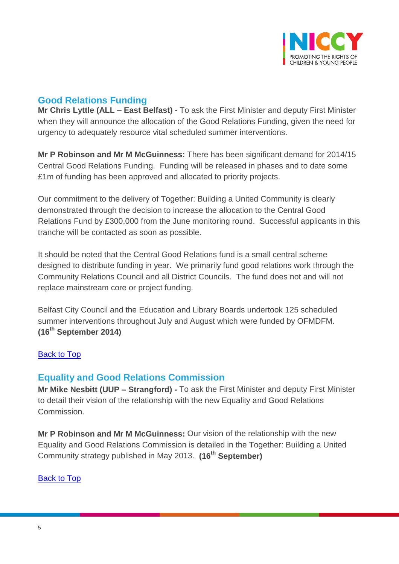

# <span id="page-4-0"></span>**Good Relations Funding**

**Mr Chris Lyttle (ALL – East Belfast) -** To ask the First Minister and deputy First Minister when they will announce the allocation of the Good Relations Funding, given the need for urgency to adequately resource vital scheduled summer interventions.

**Mr P Robinson and Mr M McGuinness:** There has been significant demand for 2014/15 Central Good Relations Funding. Funding will be released in phases and to date some £1m of funding has been approved and allocated to priority projects.

Our commitment to the delivery of Together: Building a United Community is clearly demonstrated through the decision to increase the allocation to the Central Good Relations Fund by £300,000 from the June monitoring round. Successful applicants in this tranche will be contacted as soon as possible.

It should be noted that the Central Good Relations fund is a small central scheme designed to distribute funding in year. We primarily fund good relations work through the Community Relations Council and all District Councils. The fund does not and will not replace mainstream core or project funding.

Belfast City Council and the Education and Library Boards undertook 125 scheduled summer interventions throughout July and August which were funded by OFMDFM. **(16th September 2014)**

#### [Back to Top](#page-0-0)

## <span id="page-4-1"></span>**Equality and Good Relations Commission**

**Mr Mike Nesbitt (UUP – Strangford) -** To ask the First Minister and deputy First Minister to detail their vision of the relationship with the new Equality and Good Relations Commission.

**Mr P Robinson and Mr M McGuinness:** Our vision of the relationship with the new Equality and Good Relations Commission is detailed in the Together: Building a United Community strategy published in May 2013. **(16th September)**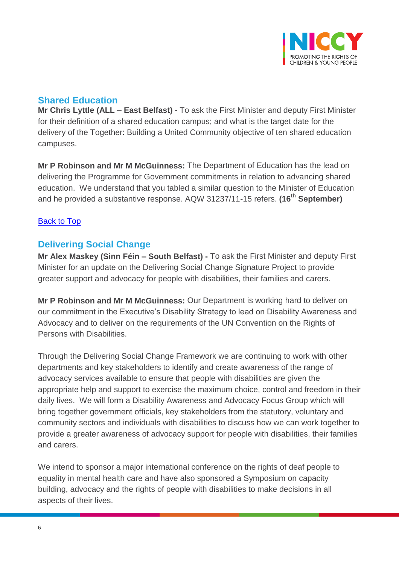

## <span id="page-5-0"></span>**Shared Education**

**Mr Chris Lyttle (ALL – East Belfast) -** To ask the First Minister and deputy First Minister for their definition of a shared education campus; and what is the target date for the delivery of the Together: Building a United Community objective of ten shared education campuses.

**Mr P Robinson and Mr M McGuinness:** The Department of Education has the lead on delivering the Programme for Government commitments in relation to advancing shared education. We understand that you tabled a similar question to the Minister of Education and he provided a substantive response. AQW 31237/11-15 refers. **(16th September)**

#### [Back to Top](#page-0-0)

## <span id="page-5-1"></span>**Delivering Social Change**

**Mr Alex Maskey (Sinn Féin – South Belfast) -** To ask the First Minister and deputy First Minister for an update on the Delivering Social Change Signature Project to provide greater support and advocacy for people with disabilities, their families and carers.

**Mr P Robinson and Mr M McGuinness:** Our Department is working hard to deliver on our commitment in the Executive's Disability Strategy to lead on Disability Awareness and Advocacy and to deliver on the requirements of the UN Convention on the Rights of Persons with Disabilities.

Through the Delivering Social Change Framework we are continuing to work with other departments and key stakeholders to identify and create awareness of the range of advocacy services available to ensure that people with disabilities are given the appropriate help and support to exercise the maximum choice, control and freedom in their daily lives. We will form a Disability Awareness and Advocacy Focus Group which will bring together government officials, key stakeholders from the statutory, voluntary and community sectors and individuals with disabilities to discuss how we can work together to provide a greater awareness of advocacy support for people with disabilities, their families and carers.

We intend to sponsor a major international conference on the rights of deaf people to equality in mental health care and have also sponsored a Symposium on capacity building, advocacy and the rights of people with disabilities to make decisions in all aspects of their lives.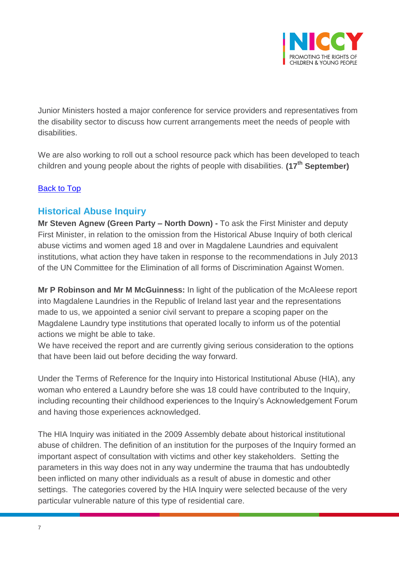

Junior Ministers hosted a major conference for service providers and representatives from the disability sector to discuss how current arrangements meet the needs of people with disabilities.

We are also working to roll out a school resource pack which has been developed to teach children and young people about the rights of people with disabilities. **(17th September)**

#### [Back to Top](#page-0-0)

## <span id="page-6-0"></span>**Historical Abuse Inquiry**

**Mr Steven Agnew (Green Party – North Down) -** To ask the First Minister and deputy First Minister, in relation to the omission from the Historical Abuse Inquiry of both clerical abuse victims and women aged 18 and over in Magdalene Laundries and equivalent institutions, what action they have taken in response to the recommendations in July 2013 of the UN Committee for the Elimination of all forms of Discrimination Against Women.

**Mr P Robinson and Mr M McGuinness:** In light of the publication of the McAleese report into Magdalene Laundries in the Republic of Ireland last year and the representations made to us, we appointed a senior civil servant to prepare a scoping paper on the Magdalene Laundry type institutions that operated locally to inform us of the potential actions we might be able to take.

We have received the report and are currently giving serious consideration to the options that have been laid out before deciding the way forward.

Under the Terms of Reference for the Inquiry into Historical Institutional Abuse (HIA), any woman who entered a Laundry before she was 18 could have contributed to the Inquiry, including recounting their childhood experiences to the Inquiry's Acknowledgement Forum and having those experiences acknowledged.

The HIA Inquiry was initiated in the 2009 Assembly debate about historical institutional abuse of children. The definition of an institution for the purposes of the Inquiry formed an important aspect of consultation with victims and other key stakeholders. Setting the parameters in this way does not in any way undermine the trauma that has undoubtedly been inflicted on many other individuals as a result of abuse in domestic and other settings. The categories covered by the HIA Inquiry were selected because of the very particular vulnerable nature of this type of residential care.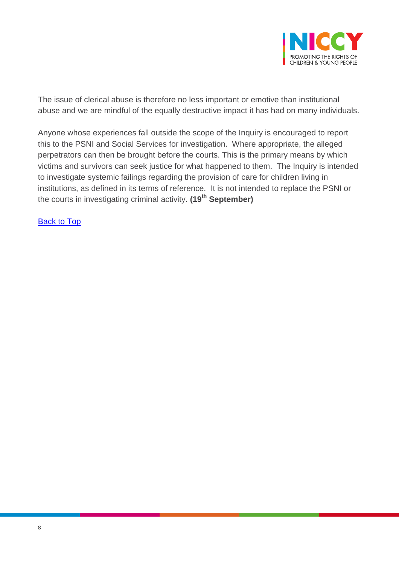

The issue of clerical abuse is therefore no less important or emotive than institutional abuse and we are mindful of the equally destructive impact it has had on many individuals.

Anyone whose experiences fall outside the scope of the Inquiry is encouraged to report this to the PSNI and Social Services for investigation. Where appropriate, the alleged perpetrators can then be brought before the courts. This is the primary means by which victims and survivors can seek justice for what happened to them. The Inquiry is intended to investigate systemic failings regarding the provision of care for children living in institutions, as defined in its terms of reference. It is not intended to replace the PSNI or the courts in investigating criminal activity. **(19th September)**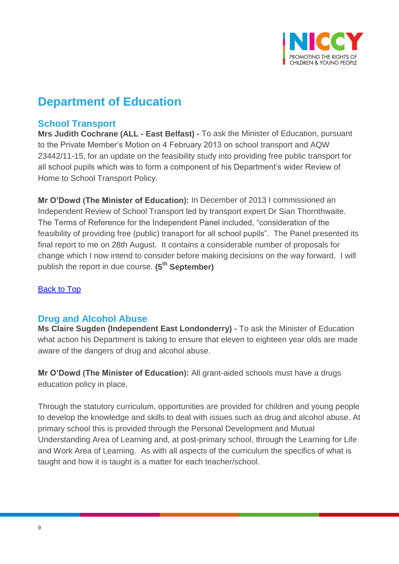

# **Department of Education**

### <span id="page-8-0"></span>**School Transport**

**Mrs Judith Cochrane (ALL - East Belfast) -** To ask the Minister of Education, pursuant to the Private Member's Motion on 4 February 2013 on school transport and AQW 23442/11-15, for an update on the feasibility study into providing free public transport for all school pupils which was to form a component of his Department's wider Review of Home to School Transport Policy.

**Mr O'Dowd (The Minister of Education):** In December of 2013 I commissioned an Independent Review of School Transport led by transport expert Dr Sian Thornthwaite. The Terms of Reference for the Independent Panel included, "consideration of the feasibility of providing free (public) transport for all school pupils". The Panel presented its final report to me on 28th August. It contains a considerable number of proposals for change which I now intend to consider before making decisions on the way forward. I will publish the report in due course. **(5th September)** 

#### **[Back to Top](#page-0-0)**

#### <span id="page-8-1"></span>**Drug and Alcohol Abuse**

**Ms Claire Sugden (Independent East Londonderry) -** To ask the Minister of Education what action his Department is taking to ensure that eleven to eighteen year olds are made aware of the dangers of drug and alcohol abuse.

**Mr O'Dowd (The Minister of Education):** All grant-aided schools must have a drugs education policy in place.

Through the statutory curriculum, opportunities are provided for children and young people to develop the knowledge and skills to deal with issues such as drug and alcohol abuse. At primary school this is provided through the Personal Development and Mutual Understanding Area of Learning and, at post-primary school, through the Learning for Life and Work Area of Learning. As with all aspects of the curriculum the specifics of what is taught and how it is taught is a matter for each teacher/school.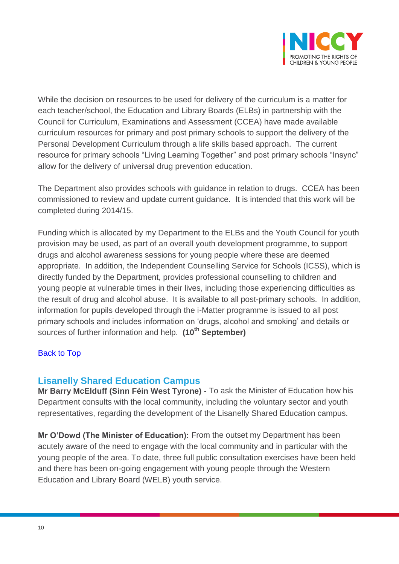

While the decision on resources to be used for delivery of the curriculum is a matter for each teacher/school, the Education and Library Boards (ELBs) in partnership with the Council for Curriculum, Examinations and Assessment (CCEA) have made available curriculum resources for primary and post primary schools to support the delivery of the Personal Development Curriculum through a life skills based approach. The current resource for primary schools "Living Learning Together" and post primary schools "Insync" allow for the delivery of universal drug prevention education.

The Department also provides schools with guidance in relation to drugs. CCEA has been commissioned to review and update current guidance. It is intended that this work will be completed during 2014/15.

Funding which is allocated by my Department to the ELBs and the Youth Council for youth provision may be used, as part of an overall youth development programme, to support drugs and alcohol awareness sessions for young people where these are deemed appropriate. In addition, the Independent Counselling Service for Schools (ICSS), which is directly funded by the Department, provides professional counselling to children and young people at vulnerable times in their lives, including those experiencing difficulties as the result of drug and alcohol abuse. It is available to all post-primary schools. In addition, information for pupils developed through the i-Matter programme is issued to all post primary schools and includes information on 'drugs, alcohol and smoking' and details or sources of further information and help. **(10th September)**

#### [Back to Top](#page-0-0)

#### <span id="page-9-0"></span>**Lisanelly Shared Education Campus**

**Mr Barry McElduff (Sinn Féin West Tyrone) -** To ask the Minister of Education how his Department consults with the local community, including the voluntary sector and youth representatives, regarding the development of the Lisanelly Shared Education campus.

**Mr O'Dowd (The Minister of Education):** From the outset my Department has been acutely aware of the need to engage with the local community and in particular with the young people of the area. To date, three full public consultation exercises have been held and there has been on-going engagement with young people through the Western Education and Library Board (WELB) youth service.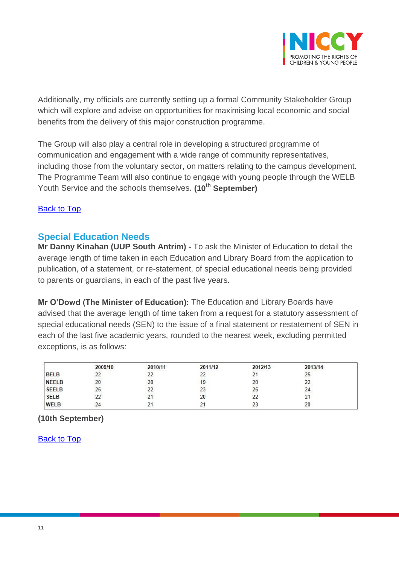

Additionally, my officials are currently setting up a formal Community Stakeholder Group which will explore and advise on opportunities for maximising local economic and social benefits from the delivery of this major construction programme.

The Group will also play a central role in developing a structured programme of communication and engagement with a wide range of community representatives, including those from the voluntary sector, on matters relating to the campus development. The Programme Team will also continue to engage with young people through the WELB Youth Service and the schools themselves. **(10th September)**

#### [Back to Top](#page-0-0)

## <span id="page-10-0"></span>**Special Education Needs**

**Mr Danny Kinahan (UUP South Antrim) -** To ask the Minister of Education to detail the average length of time taken in each Education and Library Board from the application to publication, of a statement, or re-statement, of special educational needs being provided to parents or guardians, in each of the past five years.

**Mr O'Dowd (The Minister of Education):** The Education and Library Boards have advised that the average length of time taken from a request for a statutory assessment of special educational needs (SEN) to the issue of a final statement or restatement of SEN in each of the last five academic years, rounded to the nearest week, excluding permitted exceptions, is as follows:

|              | 2009/10 | 2010/11 | 2011/12       | 2012/13      | 2013/14 |  |
|--------------|---------|---------|---------------|--------------|---------|--|
| <b>BELB</b>  | ے       |         | 22            |              | 25      |  |
| <b>NEELB</b> | 20      | ΖU      | 19            | 20           |         |  |
| <b>SEELB</b> | 25      |         | 23            | 25           | 24      |  |
| <b>SELB</b>  | 22      |         | 20            | $\sim$<br>22 | z.      |  |
| WELB         | 24      |         | $\mathcal{L}$ | 23           | 20      |  |

## <span id="page-10-1"></span>**(10th September)**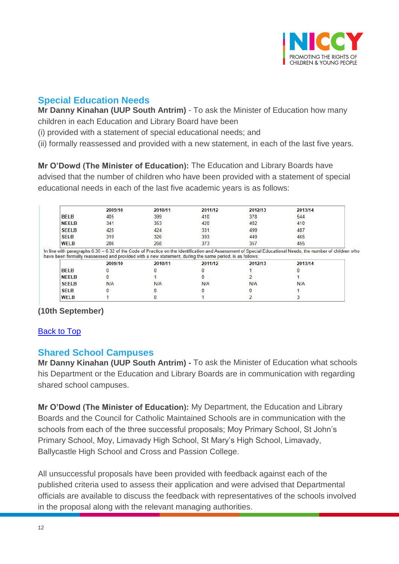

# **Special Education Needs**

**Mr Danny Kinahan (UUP South Antrim)** - To ask the Minister of Education how many children in each Education and Library Board have been

(i) provided with a statement of special educational needs; and

(ii) formally reassessed and provided with a new statement, in each of the last five years.

**Mr O'Dowd (The Minister of Education):** The Education and Library Boards have advised that the number of children who have been provided with a statement of special educational needs in each of the last five academic years is as follows:

|              | 2009/10 | 2010/11                                                                                                 | 2011/12 | 2012/13 | 2013/14                                                                                                                                                  |
|--------------|---------|---------------------------------------------------------------------------------------------------------|---------|---------|----------------------------------------------------------------------------------------------------------------------------------------------------------|
| <b>BELB</b>  | 405     | 399                                                                                                     | 410     | 378     | 544                                                                                                                                                      |
| <b>NEELB</b> | 341     | 353                                                                                                     | 420     | 402     | 410                                                                                                                                                      |
| <b>SEELB</b> | 425     | 424                                                                                                     | 331     | 499     | 487                                                                                                                                                      |
| <b>SELB</b>  | 319     | 326                                                                                                     | 393     | 449     | 465                                                                                                                                                      |
| <b>WELB</b>  | 286     | 268                                                                                                     | 373     | 357     | 455                                                                                                                                                      |
|              |         | have been formally reassessed and provided with a new statement, during the same period, is as follows: |         |         | In line with paragraphs 6.30 - 6.32 of the Code of Practice on the Identification and Assessment of Special Educational Needs, the number of children wh |
|              | 2009/10 | 2010/11                                                                                                 | 2011/12 | 2012/13 | 2013/14                                                                                                                                                  |
| <b>BELB</b>  |         |                                                                                                         |         |         |                                                                                                                                                          |
| <b>NEELB</b> |         |                                                                                                         |         |         |                                                                                                                                                          |
| <b>SEELB</b> | N/A     | N/A                                                                                                     | N/A     | N/A     | <b>N/A</b>                                                                                                                                               |
| <b>SELB</b>  |         |                                                                                                         |         |         |                                                                                                                                                          |

**(10th September)**

## [Back to Top](#page-0-0)

## <span id="page-11-0"></span>**Shared School Campuses**

**Mr Danny Kinahan (UUP South Antrim) -** To ask the Minister of Education what schools his Department or the Education and Library Boards are in communication with regarding shared school campuses.

**Mr O'Dowd (The Minister of Education):** My Department, the Education and Library Boards and the Council for Catholic Maintained Schools are in communication with the schools from each of the three successful proposals; Moy Primary School, St John's Primary School, Moy, Limavady High School, St Mary's High School, Limavady, Ballycastle High School and Cross and Passion College.

All unsuccessful proposals have been provided with feedback against each of the published criteria used to assess their application and were advised that Departmental officials are available to discuss the feedback with representatives of the schools involved in the proposal along with the relevant managing authorities.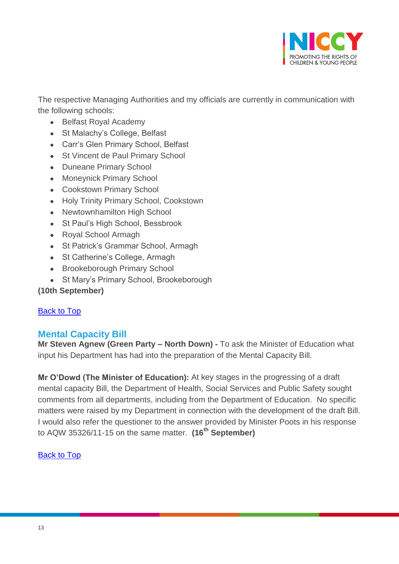

The respective Managing Authorities and my officials are currently in communication with the following schools:

- Belfast Royal Academy
- St Malachy's College, Belfast
- Carr's Glen Primary School, Belfast
- St Vincent de Paul Primary School
- Duneane Primary School
- Moneynick Primary School
- Cookstown Primary School
- Holy Trinity Primary School, Cookstown
- Newtownhamilton High School
- St Paul's High School, Bessbrook
- Royal School Armagh
- St Patrick's Grammar School, Armagh
- St Catherine's College, Armagh
- Brookeborough Primary School
- St Mary's Primary School, Brookeborough

## **(10th September)**

#### [Back to Top](#page-0-0)

## <span id="page-12-0"></span>**Mental Capacity Bill**

**Mr Steven Agnew (Green Party – North Down) -** To ask the Minister of Education what input his Department has had into the preparation of the Mental Capacity Bill.

**Mr O'Dowd (The Minister of Education):** At key stages in the progressing of a draft mental capacity Bill, the Department of Health, Social Services and Public Safety sought comments from all departments, including from the Department of Education. No specific matters were raised by my Department in connection with the development of the draft Bill. I would also refer the questioner to the answer provided by Minister Poots in his response to AQW 35326/11-15 on the same matter. **(16th September)**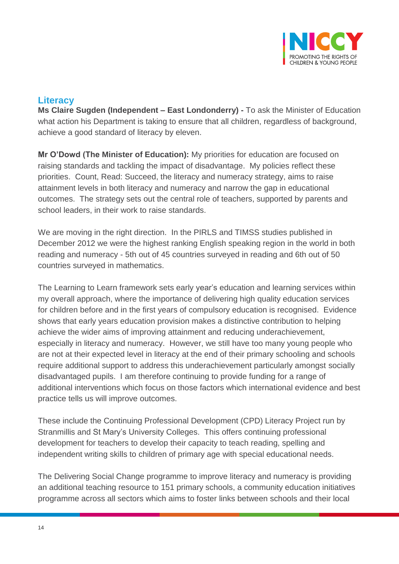

## <span id="page-13-0"></span>**Literacy**

**Ms Claire Sugden (Independent – East Londonderry) -** To ask the Minister of Education what action his Department is taking to ensure that all children, regardless of background, achieve a good standard of literacy by eleven.

**Mr O'Dowd (The Minister of Education):** My priorities for education are focused on raising standards and tackling the impact of disadvantage. My policies reflect these priorities. Count, Read: Succeed, the literacy and numeracy strategy, aims to raise attainment levels in both literacy and numeracy and narrow the gap in educational outcomes. The strategy sets out the central role of teachers, supported by parents and school leaders, in their work to raise standards.

We are moving in the right direction. In the PIRLS and TIMSS studies published in December 2012 we were the highest ranking English speaking region in the world in both reading and numeracy - 5th out of 45 countries surveyed in reading and 6th out of 50 countries surveyed in mathematics.

The Learning to Learn framework sets early year's education and learning services within my overall approach, where the importance of delivering high quality education services for children before and in the first years of compulsory education is recognised. Evidence shows that early years education provision makes a distinctive contribution to helping achieve the wider aims of improving attainment and reducing underachievement, especially in literacy and numeracy. However, we still have too many young people who are not at their expected level in literacy at the end of their primary schooling and schools require additional support to address this underachievement particularly amongst socially disadvantaged pupils. I am therefore continuing to provide funding for a range of additional interventions which focus on those factors which international evidence and best practice tells us will improve outcomes.

These include the Continuing Professional Development (CPD) Literacy Project run by Stranmillis and St Mary's University Colleges. This offers continuing professional development for teachers to develop their capacity to teach reading, spelling and independent writing skills to children of primary age with special educational needs.

The Delivering Social Change programme to improve literacy and numeracy is providing an additional teaching resource to 151 primary schools, a community education initiatives programme across all sectors which aims to foster links between schools and their local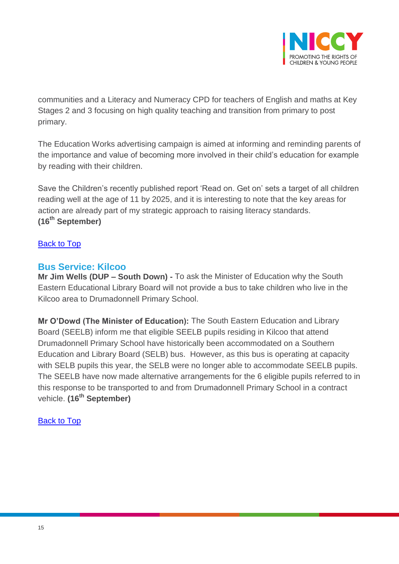

communities and a Literacy and Numeracy CPD for teachers of English and maths at Key Stages 2 and 3 focusing on high quality teaching and transition from primary to post primary.

The Education Works advertising campaign is aimed at informing and reminding parents of the importance and value of becoming more involved in their child's education for example by reading with their children.

Save the Children's recently published report 'Read on. Get on' sets a target of all children reading well at the age of 11 by 2025, and it is interesting to note that the key areas for action are already part of my strategic approach to raising literacy standards. **(16th September)**

#### [Back to Top](#page-0-0)

#### <span id="page-14-0"></span>**Bus Service: Kilcoo**

**Mr Jim Wells (DUP – South Down) -** To ask the Minister of Education why the South Eastern Educational Library Board will not provide a bus to take children who live in the Kilcoo area to Drumadonnell Primary School.

**Mr O'Dowd (The Minister of Education):** The South Eastern Education and Library Board (SEELB) inform me that eligible SEELB pupils residing in Kilcoo that attend Drumadonnell Primary School have historically been accommodated on a Southern Education and Library Board (SELB) bus. However, as this bus is operating at capacity with SELB pupils this year, the SELB were no longer able to accommodate SEELB pupils. The SEELB have now made alternative arrangements for the 6 eligible pupils referred to in this response to be transported to and from Drumadonnell Primary School in a contract vehicle. **(16th September)**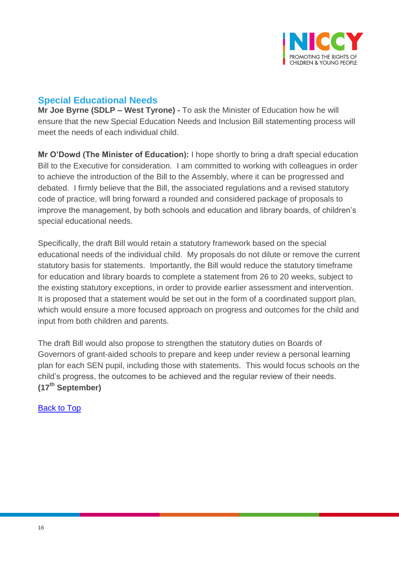

# <span id="page-15-0"></span>**Special Educational Needs**

**Mr Joe Byrne (SDLP – West Tyrone) -** To ask the Minister of Education how he will ensure that the new Special Education Needs and Inclusion Bill statementing process will meet the needs of each individual child.

**Mr O'Dowd (The Minister of Education):** I hope shortly to bring a draft special education Bill to the Executive for consideration. I am committed to working with colleagues in order to achieve the introduction of the Bill to the Assembly, where it can be progressed and debated. I firmly believe that the Bill, the associated regulations and a revised statutory code of practice, will bring forward a rounded and considered package of proposals to improve the management, by both schools and education and library boards, of children's special educational needs.

Specifically, the draft Bill would retain a statutory framework based on the special educational needs of the individual child. My proposals do not dilute or remove the current statutory basis for statements. Importantly, the Bill would reduce the statutory timeframe for education and library boards to complete a statement from 26 to 20 weeks, subject to the existing statutory exceptions, in order to provide earlier assessment and intervention. It is proposed that a statement would be set out in the form of a coordinated support plan, which would ensure a more focused approach on progress and outcomes for the child and input from both children and parents.

The draft Bill would also propose to strengthen the statutory duties on Boards of Governors of grant-aided schools to prepare and keep under review a personal learning plan for each SEN pupil, including those with statements. This would focus schools on the child's progress, the outcomes to be achieved and the regular review of their needs. **(17th September)**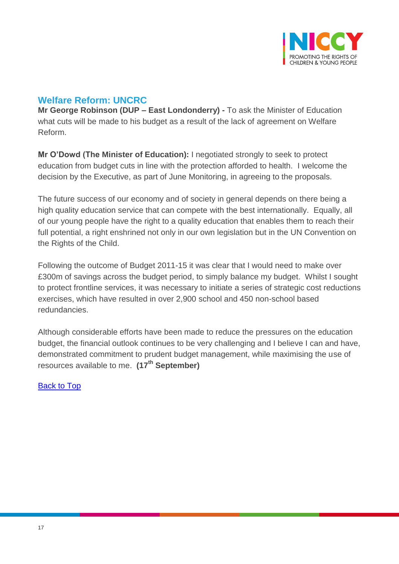

## <span id="page-16-0"></span>**Welfare Reform: UNCRC**

**Mr George Robinson (DUP – East Londonderry) -** To ask the Minister of Education what cuts will be made to his budget as a result of the lack of agreement on Welfare Reform.

**Mr O'Dowd (The Minister of Education):** I negotiated strongly to seek to protect education from budget cuts in line with the protection afforded to health. I welcome the decision by the Executive, as part of June Monitoring, in agreeing to the proposals.

The future success of our economy and of society in general depends on there being a high quality education service that can compete with the best internationally. Equally, all of our young people have the right to a quality education that enables them to reach their full potential, a right enshrined not only in our own legislation but in the UN Convention on the Rights of the Child.

Following the outcome of Budget 2011-15 it was clear that I would need to make over £300m of savings across the budget period, to simply balance my budget. Whilst I sought to protect frontline services, it was necessary to initiate a series of strategic cost reductions exercises, which have resulted in over 2,900 school and 450 non-school based redundancies.

Although considerable efforts have been made to reduce the pressures on the education budget, the financial outlook continues to be very challenging and I believe I can and have, demonstrated commitment to prudent budget management, while maximising the use of resources available to me. **(17th September)**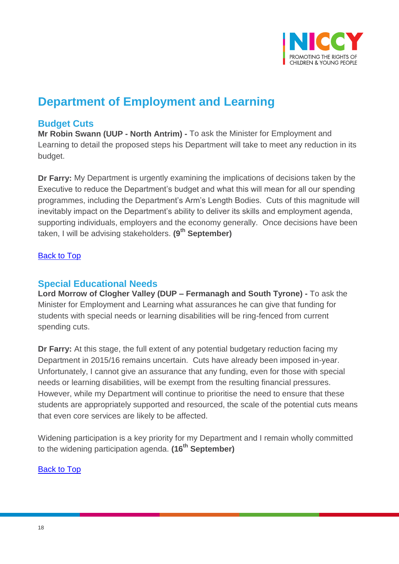

# **Department of Employment and Learning**

## <span id="page-17-0"></span>**Budget Cuts**

**Mr Robin Swann (UUP - North Antrim) -** To ask the Minister for Employment and Learning to detail the proposed steps his Department will take to meet any reduction in its budget.

**Dr Farry:** My Department is urgently examining the implications of decisions taken by the Executive to reduce the Department's budget and what this will mean for all our spending programmes, including the Department's Arm's Length Bodies. Cuts of this magnitude will inevitably impact on the Department's ability to deliver its skills and employment agenda, supporting individuals, employers and the economy generally. Once decisions have been taken, I will be advising stakeholders. **(9th September)**

#### [Back to Top](#page-0-0)

## <span id="page-17-1"></span>**Special Educational Needs**

**Lord Morrow of Clogher Valley (DUP – Fermanagh and South Tyrone) -** To ask the Minister for Employment and Learning what assurances he can give that funding for students with special needs or learning disabilities will be ring-fenced from current spending cuts.

**Dr Farry:** At this stage, the full extent of any potential budgetary reduction facing my Department in 2015/16 remains uncertain. Cuts have already been imposed in-year. Unfortunately, I cannot give an assurance that any funding, even for those with special needs or learning disabilities, will be exempt from the resulting financial pressures. However, while my Department will continue to prioritise the need to ensure that these students are appropriately supported and resourced, the scale of the potential cuts means that even core services are likely to be affected.

Widening participation is a key priority for my Department and I remain wholly committed to the widening participation agenda. **(16th September)**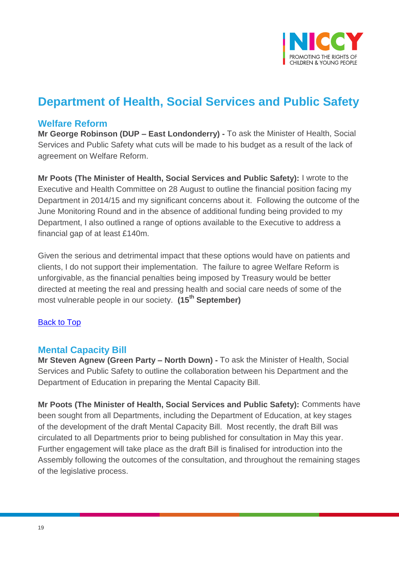

# **Department of Health, Social Services and Public Safety**

## <span id="page-18-0"></span>**Welfare Reform**

**Mr George Robinson (DUP – East Londonderry) -** To ask the Minister of Health, Social Services and Public Safety what cuts will be made to his budget as a result of the lack of agreement on Welfare Reform.

**Mr Poots (The Minister of Health, Social Services and Public Safety):** I wrote to the Executive and Health Committee on 28 August to outline the financial position facing my Department in 2014/15 and my significant concerns about it. Following the outcome of the June Monitoring Round and in the absence of additional funding being provided to my Department, I also outlined a range of options available to the Executive to address a financial gap of at least £140m.

Given the serious and detrimental impact that these options would have on patients and clients, I do not support their implementation. The failure to agree Welfare Reform is unforgivable, as the financial penalties being imposed by Treasury would be better directed at meeting the real and pressing health and social care needs of some of the most vulnerable people in our society. **(15th September)**

## [Back to Top](#page-0-0)

## <span id="page-18-1"></span>**Mental Capacity Bill**

**Mr Steven Agnew (Green Party – North Down) -** To ask the Minister of Health, Social Services and Public Safety to outline the collaboration between his Department and the Department of Education in preparing the Mental Capacity Bill.

**Mr Poots (The Minister of Health, Social Services and Public Safety):** Comments have been sought from all Departments, including the Department of Education, at key stages of the development of the draft Mental Capacity Bill. Most recently, the draft Bill was circulated to all Departments prior to being published for consultation in May this year. Further engagement will take place as the draft Bill is finalised for introduction into the Assembly following the outcomes of the consultation, and throughout the remaining stages of the legislative process.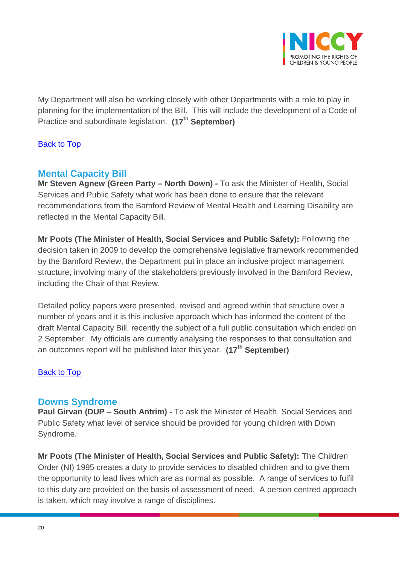

My Department will also be working closely with other Departments with a role to play in planning for the implementation of the Bill. This will include the development of a Code of Practice and subordinate legislation. **(17th September)**

#### [Back to Top](#page-0-0)

## <span id="page-19-0"></span>**Mental Capacity Bill**

**Mr Steven Agnew (Green Party – North Down) -** To ask the Minister of Health, Social Services and Public Safety what work has been done to ensure that the relevant recommendations from the Bamford Review of Mental Health and Learning Disability are reflected in the Mental Capacity Bill.

**Mr Poots (The Minister of Health, Social Services and Public Safety):** Following the decision taken in 2009 to develop the comprehensive legislative framework recommended by the Bamford Review, the Department put in place an inclusive project management structure, involving many of the stakeholders previously involved in the Bamford Review, including the Chair of that Review.

Detailed policy papers were presented, revised and agreed within that structure over a number of years and it is this inclusive approach which has informed the content of the draft Mental Capacity Bill, recently the subject of a full public consultation which ended on 2 September. My officials are currently analysing the responses to that consultation and an outcomes report will be published later this year. **(17th September)**

#### [Back to Top](#page-0-0)

#### **Downs Syndrome**

**Paul Girvan (DUP – South Antrim) -** To ask the Minister of Health, Social Services and Public Safety what level of service should be provided for young children with Down Syndrome.

**Mr Poots (The Minister of Health, Social Services and Public Safety):** The Children Order (NI) 1995 creates a duty to provide services to disabled children and to give them the opportunity to lead lives which are as normal as possible. A range of services to fulfil to this duty are provided on the basis of assessment of need. A person centred approach is taken, which may involve a range of disciplines.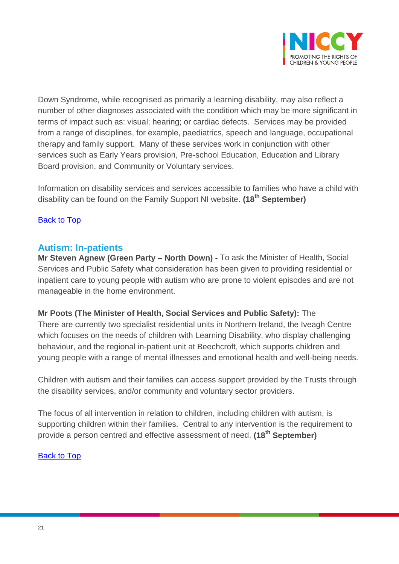

Down Syndrome, while recognised as primarily a learning disability, may also reflect a number of other diagnoses associated with the condition which may be more significant in terms of impact such as: visual; hearing; or cardiac defects. Services may be provided from a range of disciplines, for example, paediatrics, speech and language, occupational therapy and family support. Many of these services work in conjunction with other services such as Early Years provision, Pre-school Education, Education and Library Board provision, and Community or Voluntary services.

Information on disability services and services accessible to families who have a child with disability can be found on the Family Support NI website. **(18th September)**

#### [Back to Top](#page-0-0)

#### <span id="page-20-0"></span>**Autism: In-patients**

**Mr Steven Agnew (Green Party – North Down) -** To ask the Minister of Health, Social Services and Public Safety what consideration has been given to providing residential or inpatient care to young people with autism who are prone to violent episodes and are not manageable in the home environment.

#### **Mr Poots (The Minister of Health, Social Services and Public Safety):** The

There are currently two specialist residential units in Northern Ireland, the Iveagh Centre which focuses on the needs of children with Learning Disability, who display challenging behaviour, and the regional in-patient unit at Beechcroft, which supports children and young people with a range of mental illnesses and emotional health and well-being needs.

Children with autism and their families can access support provided by the Trusts through the disability services, and/or community and voluntary sector providers.

The focus of all intervention in relation to children, including children with autism, is supporting children within their families. Central to any intervention is the requirement to provide a person centred and effective assessment of need. **(18th September)**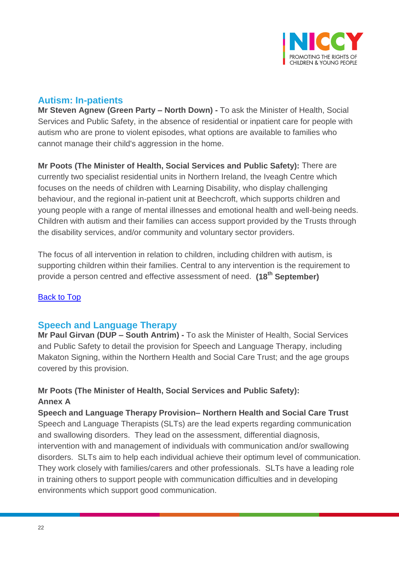

## <span id="page-21-0"></span>**Autism: In-patients**

**Mr Steven Agnew (Green Party – North Down) -** To ask the Minister of Health, Social Services and Public Safety, in the absence of residential or inpatient care for people with autism who are prone to violent episodes, what options are available to families who cannot manage their child's aggression in the home.

**Mr Poots (The Minister of Health, Social Services and Public Safety):** There are currently two specialist residential units in Northern Ireland, the Iveagh Centre which focuses on the needs of children with Learning Disability, who display challenging behaviour, and the regional in-patient unit at Beechcroft, which supports children and young people with a range of mental illnesses and emotional health and well-being needs. Children with autism and their families can access support provided by the Trusts through the disability services, and/or community and voluntary sector providers.

The focus of all intervention in relation to children, including children with autism, is supporting children within their families. Central to any intervention is the requirement to provide a person centred and effective assessment of need. **(18th September)**

## [Back to Top](#page-0-0)

## <span id="page-21-1"></span>**Speech and Language Therapy**

**Mr Paul Girvan (DUP – South Antrim) -** To ask the Minister of Health, Social Services and Public Safety to detail the provision for Speech and Language Therapy, including Makaton Signing, within the Northern Health and Social Care Trust; and the age groups covered by this provision.

## **Mr Poots (The Minister of Health, Social Services and Public Safety): Annex A**

**Speech and Language Therapy Provision– Northern Health and Social Care Trust** Speech and Language Therapists (SLTs) are the lead experts regarding communication and swallowing disorders. They lead on the assessment, differential diagnosis, intervention with and management of individuals with communication and/or swallowing disorders. SLTs aim to help each individual achieve their optimum level of communication. They work closely with families/carers and other professionals. SLTs have a leading role in training others to support people with communication difficulties and in developing environments which support good communication.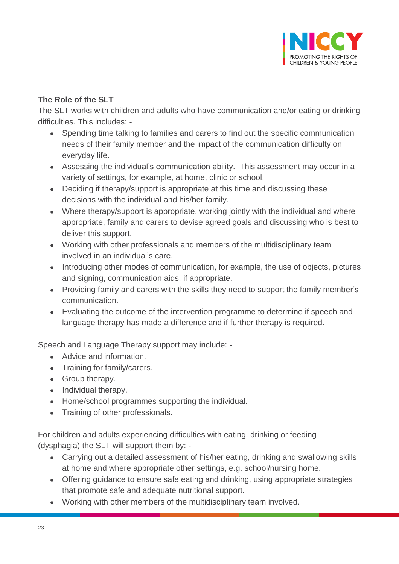

#### **The Role of the SLT**

The SLT works with children and adults who have communication and/or eating or drinking difficulties. This includes: -

- Spending time talking to families and carers to find out the specific communication needs of their family member and the impact of the communication difficulty on everyday life.
- Assessing the individual's communication ability. This assessment may occur in a variety of settings, for example, at home, clinic or school.
- Deciding if therapy/support is appropriate at this time and discussing these decisions with the individual and his/her family.
- Where therapy/support is appropriate, working jointly with the individual and where appropriate, family and carers to devise agreed goals and discussing who is best to deliver this support.
- Working with other professionals and members of the multidisciplinary team involved in an individual's care.
- Introducing other modes of communication, for example, the use of objects, pictures and signing, communication aids, if appropriate.
- Providing family and carers with the skills they need to support the family member's communication.
- Evaluating the outcome of the intervention programme to determine if speech and language therapy has made a difference and if further therapy is required.

Speech and Language Therapy support may include: -

- Advice and information.
- Training for family/carers.
- Group therapy.
- Individual therapy.
- Home/school programmes supporting the individual.
- Training of other professionals.

For children and adults experiencing difficulties with eating, drinking or feeding (dysphagia) the SLT will support them by: -

- Carrying out a detailed assessment of his/her eating, drinking and swallowing skills at home and where appropriate other settings, e.g. school/nursing home.
- Offering guidance to ensure safe eating and drinking, using appropriate strategies that promote safe and adequate nutritional support.
- Working with other members of the multidisciplinary team involved.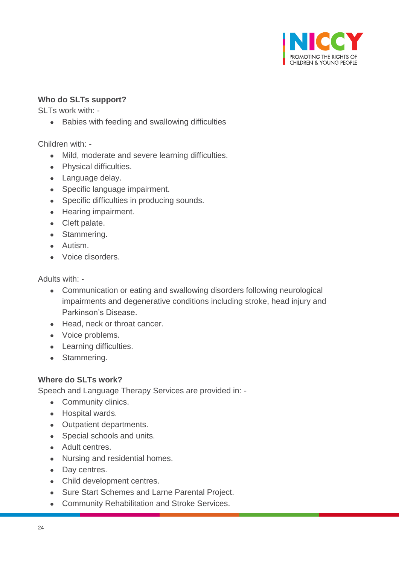

#### **Who do SLTs support?**

SLTs work with: -

Babies with feeding and swallowing difficulties

Children with: -

- Mild, moderate and severe learning difficulties.
- Physical difficulties.
- Language delay.
- Specific language impairment.
- Specific difficulties in producing sounds.
- Hearing impairment.
- Cleft palate.
- Stammering.
- Autism.
- Voice disorders.

#### Adults with: -

- Communication or eating and swallowing disorders following neurological impairments and degenerative conditions including stroke, head injury and Parkinson's Disease.
- Head, neck or throat cancer.
- Voice problems.
- Learning difficulties.
- Stammering.

#### **Where do SLTs work?**

Speech and Language Therapy Services are provided in: -

- Community clinics.
- Hospital wards.
- Outpatient departments.
- Special schools and units.
- Adult centres.
- Nursing and residential homes.
- Day centres.
- Child development centres.
- Sure Start Schemes and Larne Parental Project.
- Community Rehabilitation and Stroke Services.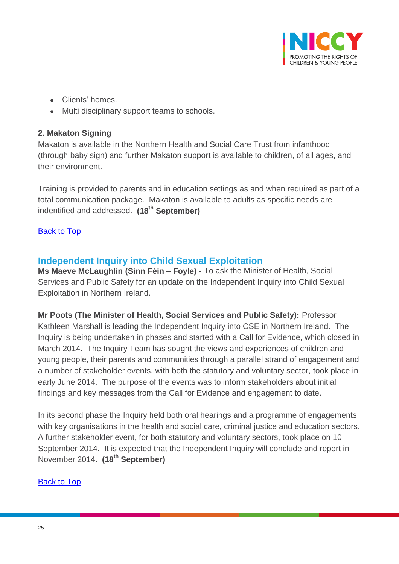

- Clients' homes.
- Multi disciplinary support teams to schools.

#### **2. Makaton Signing**

Makaton is available in the Northern Health and Social Care Trust from infanthood (through baby sign) and further Makaton support is available to children, of all ages, and their environment.

Training is provided to parents and in education settings as and when required as part of a total communication package. Makaton is available to adults as specific needs are indentified and addressed. **(18th September)**

#### [Back to Top](#page-0-0)

## <span id="page-24-0"></span>**Independent Inquiry into Child Sexual Exploitation**

**Ms Maeve McLaughlin (Sinn Féin – Foyle) -** To ask the Minister of Health, Social Services and Public Safety for an update on the Independent Inquiry into Child Sexual Exploitation in Northern Ireland.

**Mr Poots (The Minister of Health, Social Services and Public Safety):** Professor Kathleen Marshall is leading the Independent Inquiry into CSE in Northern Ireland. The Inquiry is being undertaken in phases and started with a Call for Evidence, which closed in March 2014. The Inquiry Team has sought the views and experiences of children and young people, their parents and communities through a parallel strand of engagement and a number of stakeholder events, with both the statutory and voluntary sector, took place in early June 2014. The purpose of the events was to inform stakeholders about initial findings and key messages from the Call for Evidence and engagement to date.

In its second phase the Inquiry held both oral hearings and a programme of engagements with key organisations in the health and social care, criminal justice and education sectors. A further stakeholder event, for both statutory and voluntary sectors, took place on 10 September 2014. It is expected that the Independent Inquiry will conclude and report in November 2014. **(18th September)**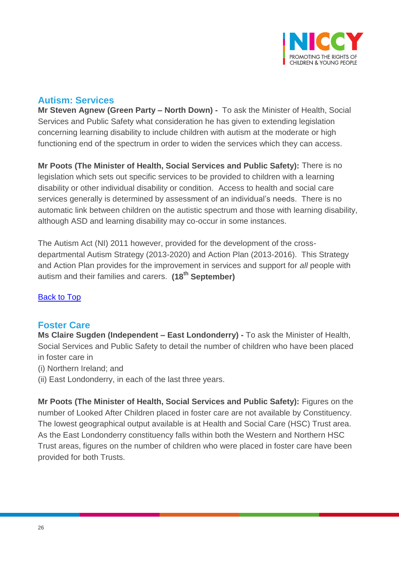

# <span id="page-25-0"></span>**Autism: Services**

**Mr Steven Agnew (Green Party – North Down) -** To ask the Minister of Health, Social Services and Public Safety what consideration he has given to extending legislation concerning learning disability to include children with autism at the moderate or high functioning end of the spectrum in order to widen the services which they can access.

**Mr Poots (The Minister of Health, Social Services and Public Safety):** There is no legislation which sets out specific services to be provided to children with a learning disability or other individual disability or condition. Access to health and social care services generally is determined by assessment of an individual's needs. There is no automatic link between children on the autistic spectrum and those with learning disability, although ASD and learning disability may co-occur in some instances.

The Autism Act (NI) 2011 however, provided for the development of the crossdepartmental Autism Strategy (2013-2020) and Action Plan (2013-2016). This Strategy and Action Plan provides for the improvement in services and support for *all* people with autism and their families and carers. **(18th September)**

## [Back to Top](#page-0-0)

## <span id="page-25-1"></span>**Foster Care**

**Ms Claire Sugden (Independent – East Londonderry) -** To ask the Minister of Health, Social Services and Public Safety to detail the number of children who have been placed in foster care in

- (i) Northern Ireland; and
- (ii) East Londonderry, in each of the last three years.

**Mr Poots (The Minister of Health, Social Services and Public Safety):** Figures on the number of Looked After Children placed in foster care are not available by Constituency. The lowest geographical output available is at Health and Social Care (HSC) Trust area. As the East Londonderry constituency falls within both the Western and Northern HSC Trust areas, figures on the number of children who were placed in foster care have been provided for both Trusts.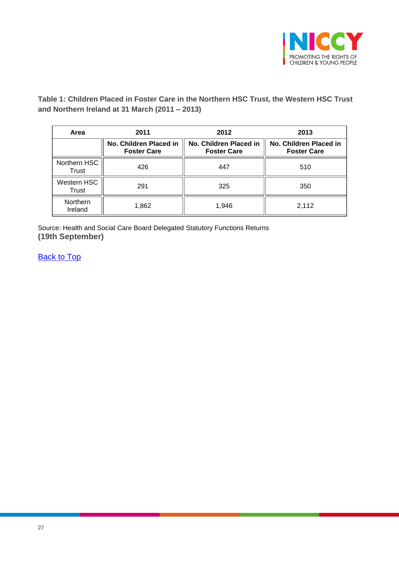

**Table 1: Children Placed in Foster Care in the Northern HSC Trust, the Western HSC Trust and Northern Ireland at 31 March (2011 – 2013)**

| Area                  | 2011                                         | 2012                                         | 2013                                         |  |
|-----------------------|----------------------------------------------|----------------------------------------------|----------------------------------------------|--|
|                       | No. Children Placed in<br><b>Foster Care</b> | No. Children Placed in<br><b>Foster Care</b> | No. Children Placed in<br><b>Foster Care</b> |  |
| Northern HSC<br>Trust | 426                                          | 447                                          | 510                                          |  |
| Western HSC<br>Trust  | 291                                          | 325                                          | 350                                          |  |
| Northern<br>Ireland   | 1,862                                        | 1,946                                        | 2,112                                        |  |

Source: Health and Social Care Board Delegated Statutory Functions Returns **(19th September)**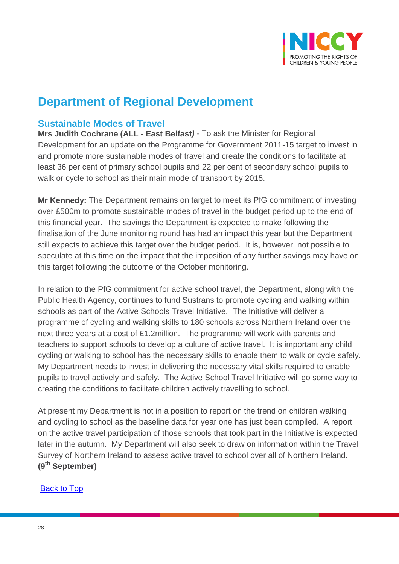

# **Department of Regional Development**

## <span id="page-27-0"></span>**Sustainable Modes of Travel**

**Mrs Judith Cochrane (ALL - East Belfast***)* - To ask the Minister for Regional Development for an update on the Programme for Government 2011-15 target to invest in and promote more sustainable modes of travel and create the conditions to facilitate at least 36 per cent of primary school pupils and 22 per cent of secondary school pupils to walk or cycle to school as their main mode of transport by 2015.

**Mr Kennedy:** The Department remains on target to meet its PfG commitment of investing over £500m to promote sustainable modes of travel in the budget period up to the end of this financial year. The savings the Department is expected to make following the finalisation of the June monitoring round has had an impact this year but the Department still expects to achieve this target over the budget period. It is, however, not possible to speculate at this time on the impact that the imposition of any further savings may have on this target following the outcome of the October monitoring.

In relation to the PfG commitment for active school travel, the Department, along with the Public Health Agency, continues to fund Sustrans to promote cycling and walking within schools as part of the Active Schools Travel Initiative. The Initiative will deliver a programme of cycling and walking skills to 180 schools across Northern Ireland over the next three years at a cost of £1.2million. The programme will work with parents and teachers to support schools to develop a culture of active travel. It is important any child cycling or walking to school has the necessary skills to enable them to walk or cycle safely. My Department needs to invest in delivering the necessary vital skills required to enable pupils to travel actively and safely. The Active School Travel Initiative will go some way to creating the conditions to facilitate children actively travelling to school.

At present my Department is not in a position to report on the trend on children walking and cycling to school as the baseline data for year one has just been compiled. A report on the active travel participation of those schools that took part in the Initiative is expected later in the autumn. My Department will also seek to draw on information within the Travel Survey of Northern Ireland to assess active travel to school over all of Northern Ireland. **(9th September)**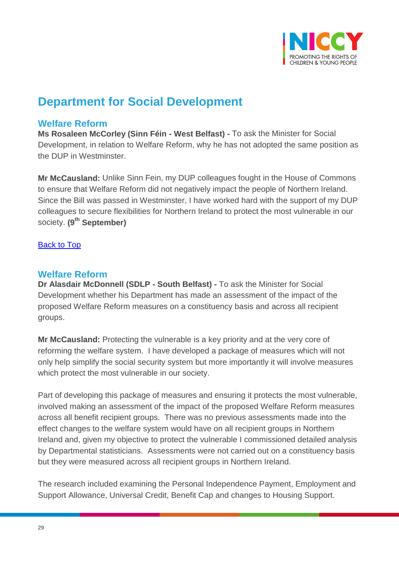

# **Department for Social Development**

## <span id="page-28-0"></span>**Welfare Reform**

**Ms Rosaleen McCorley (Sinn Féin - West Belfast) -** To ask the Minister for Social Development, in relation to Welfare Reform, why he has not adopted the same position as the DUP in Westminster.

**Mr McCausland:** Unlike Sinn Fein, my DUP colleagues fought in the House of Commons to ensure that Welfare Reform did not negatively impact the people of Northern Ireland. Since the Bill was passed in Westminster, I have worked hard with the support of my DUP colleagues to secure flexibilities for Northern Ireland to protect the most vulnerable in our society. **(9 th September)**

#### **[Back to Top](#page-0-0)**

## <span id="page-28-1"></span>**Welfare Reform**

**Dr Alasdair McDonnell (SDLP - South Belfast) -** To ask the Minister for Social Development whether his Department has made an assessment of the impact of the proposed Welfare Reform measures on a constituency basis and across all recipient groups.

**Mr McCausland:** Protecting the vulnerable is a key priority and at the very core of reforming the welfare system. I have developed a package of measures which will not only help simplify the social security system but more importantly it will involve measures which protect the most vulnerable in our society.

Part of developing this package of measures and ensuring it protects the most vulnerable, involved making an assessment of the impact of the proposed Welfare Reform measures across all benefit recipient groups. There was no previous assessments made into the effect changes to the welfare system would have on all recipient groups in Northern Ireland and, given my objective to protect the vulnerable I commissioned detailed analysis by Departmental statisticians. Assessments were not carried out on a constituency basis but they were measured across all recipient groups in Northern Ireland.

The research included examining the Personal Independence Payment, Employment and Support Allowance, Universal Credit, Benefit Cap and changes to Housing Support.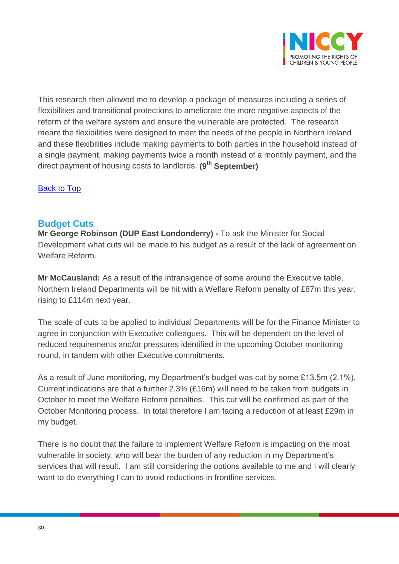

This research then allowed me to develop a package of measures including a series of flexibilities and transitional protections to ameliorate the more negative aspects of the reform of the welfare system and ensure the vulnerable are protected. The research meant the flexibilities were designed to meet the needs of the people in Northern Ireland and these flexibilities include making payments to both parties in the household instead of a single payment, making payments twice a month instead of a monthly payment, and the direct payment of housing costs to landlords. **(9th September)**

[Back to Top](#page-0-0)

## <span id="page-29-0"></span>**Budget Cuts**

**Mr George Robinson (DUP East Londonderry) -** To ask the Minister for Social Development what cuts will be made to his budget as a result of the lack of agreement on Welfare Reform.

**Mr McCausland:** As a result of the intransigence of some around the Executive table, Northern Ireland Departments will be hit with a Welfare Reform penalty of £87m this year, rising to £114m next year.

The scale of cuts to be applied to individual Departments will be for the Finance Minister to agree in conjunction with Executive colleagues. This will be dependent on the level of reduced requirements and/or pressures identified in the upcoming October monitoring round, in tandem with other Executive commitments.

As a result of June monitoring, my Department's budget was cut by some £13.5m (2.1%). Current indications are that a further 2.3% (£16m) will need to be taken from budgets in October to meet the Welfare Reform penalties. This cut will be confirmed as part of the October Monitoring process. In total therefore I am facing a reduction of at least £29m in my budget.

There is no doubt that the failure to implement Welfare Reform is impacting on the most vulnerable in society, who will bear the burden of any reduction in my Department's services that will result. I am still considering the options available to me and I will clearly want to do everything I can to avoid reductions in frontline services.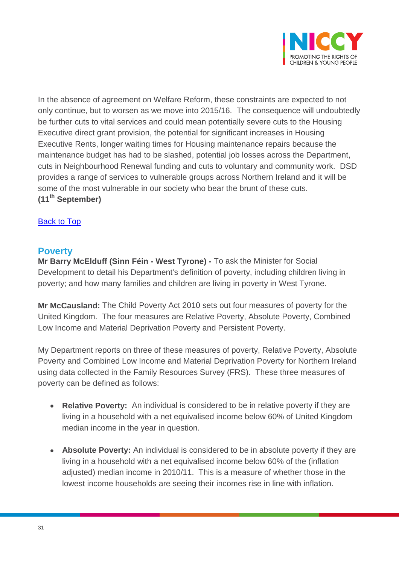

In the absence of agreement on Welfare Reform, these constraints are expected to not only continue, but to worsen as we move into 2015/16. The consequence will undoubtedly be further cuts to vital services and could mean potentially severe cuts to the Housing Executive direct grant provision, the potential for significant increases in Housing Executive Rents, longer waiting times for Housing maintenance repairs because the maintenance budget has had to be slashed, potential job losses across the Department, cuts in Neighbourhood Renewal funding and cuts to voluntary and community work. DSD provides a range of services to vulnerable groups across Northern Ireland and it will be some of the most vulnerable in our society who bear the brunt of these cuts. **(11th September)** 

#### [Back to Top](#page-0-0)

#### <span id="page-30-0"></span>**Poverty**

**Mr Barry McElduff (Sinn Féin - West Tyrone) -** To ask the Minister for Social Development to detail his Department's definition of poverty, including children living in poverty; and how many families and children are living in poverty in West Tyrone.

**Mr McCausland:** The Child Poverty Act 2010 sets out four measures of poverty for the United Kingdom. The four measures are Relative Poverty, Absolute Poverty, Combined Low Income and Material Deprivation Poverty and Persistent Poverty.

My Department reports on three of these measures of poverty, Relative Poverty, Absolute Poverty and Combined Low Income and Material Deprivation Poverty for Northern Ireland using data collected in the Family Resources Survey (FRS). These three measures of poverty can be defined as follows:

- **Relative Poverty:** An individual is considered to be in relative poverty if they are living in a household with a net equivalised income below 60% of United Kingdom median income in the year in question.
- **Absolute Poverty:** An individual is considered to be in absolute poverty if they are living in a household with a net equivalised income below 60% of the (inflation adjusted) median income in 2010/11. This is a measure of whether those in the lowest income households are seeing their incomes rise in line with inflation.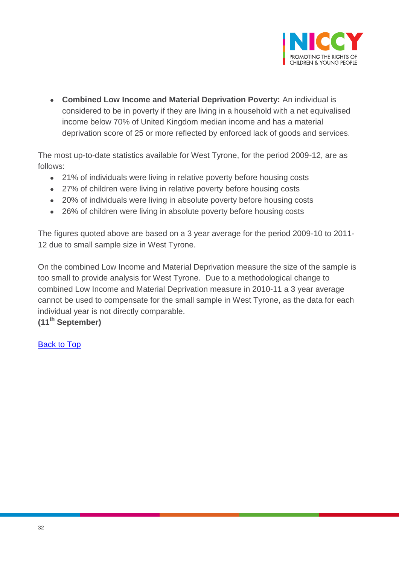

 **Combined Low Income and Material Deprivation Poverty:** An individual is considered to be in poverty if they are living in a household with a net equivalised income below 70% of United Kingdom median income and has a material deprivation score of 25 or more reflected by enforced lack of goods and services.

The most up-to-date statistics available for West Tyrone, for the period 2009-12, are as follows:

- 21% of individuals were living in relative poverty before housing costs
- 27% of children were living in relative poverty before housing costs
- 20% of individuals were living in absolute poverty before housing costs
- 26% of children were living in absolute poverty before housing costs

The figures quoted above are based on a 3 year average for the period 2009-10 to 2011- 12 due to small sample size in West Tyrone.

On the combined Low Income and Material Deprivation measure the size of the sample is too small to provide analysis for West Tyrone. Due to a methodological change to combined Low Income and Material Deprivation measure in 2010-11 a 3 year average cannot be used to compensate for the small sample in West Tyrone, as the data for each individual year is not directly comparable.

**(11th September)**